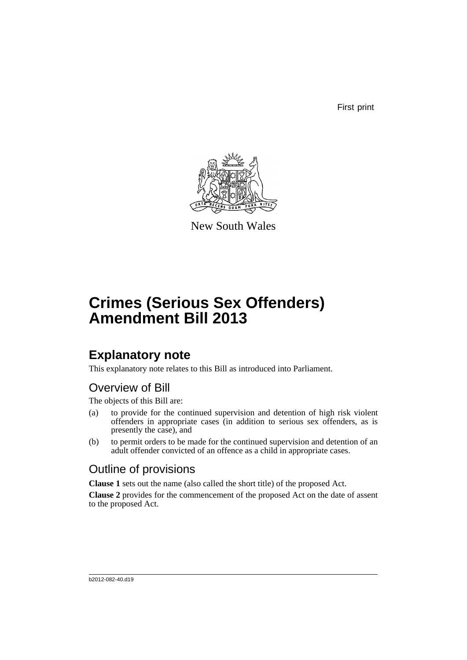First print



New South Wales

# **Crimes (Serious Sex Offenders) Amendment Bill 2013**

# **Explanatory note**

This explanatory note relates to this Bill as introduced into Parliament.

# Overview of Bill

The objects of this Bill are:

- (a) to provide for the continued supervision and detention of high risk violent offenders in appropriate cases (in addition to serious sex offenders, as is presently the case), and
- (b) to permit orders to be made for the continued supervision and detention of an adult offender convicted of an offence as a child in appropriate cases.

# Outline of provisions

**Clause 1** sets out the name (also called the short title) of the proposed Act.

**Clause 2** provides for the commencement of the proposed Act on the date of assent to the proposed Act.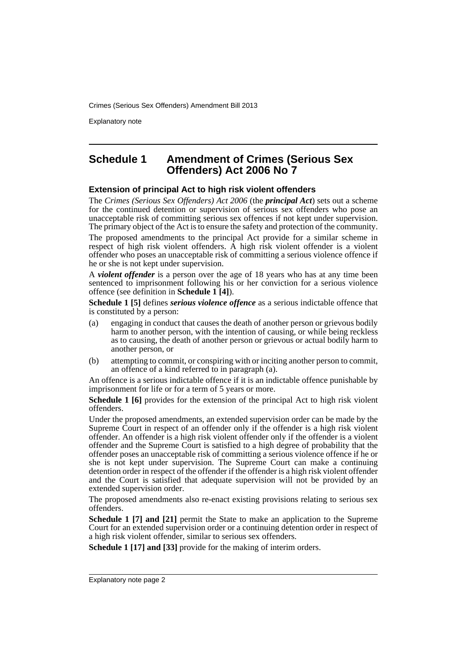Explanatory note

### **Schedule 1 Amendment of Crimes (Serious Sex Offenders) Act 2006 No 7**

### **Extension of principal Act to high risk violent offenders**

The *Crimes (Serious Sex Offenders) Act 2006* (the *principal Act*) sets out a scheme for the continued detention or supervision of serious sex offenders who pose an unacceptable risk of committing serious sex offences if not kept under supervision. The primary object of the Act is to ensure the safety and protection of the community.

The proposed amendments to the principal Act provide for a similar scheme in respect of high risk violent offenders. A high risk violent offender is a violent offender who poses an unacceptable risk of committing a serious violence offence if he or she is not kept under supervision.

A *violent offender* is a person over the age of 18 years who has at any time been sentenced to imprisonment following his or her conviction for a serious violence offence (see definition in **Schedule 1 [4]**).

**Schedule 1 [5]** defines *serious violence offence* as a serious indictable offence that is constituted by a person:

- (a) engaging in conduct that causes the death of another person or grievous bodily harm to another person, with the intention of causing, or while being reckless as to causing, the death of another person or grievous or actual bodily harm to another person, or
- (b) attempting to commit, or conspiring with or inciting another person to commit, an offence of a kind referred to in paragraph (a).

An offence is a serious indictable offence if it is an indictable offence punishable by imprisonment for life or for a term of 5 years or more.

**Schedule 1 [6]** provides for the extension of the principal Act to high risk violent offenders.

Under the proposed amendments, an extended supervision order can be made by the Supreme Court in respect of an offender only if the offender is a high risk violent offender. An offender is a high risk violent offender only if the offender is a violent offender and the Supreme Court is satisfied to a high degree of probability that the offender poses an unacceptable risk of committing a serious violence offence if he or she is not kept under supervision. The Supreme Court can make a continuing detention order in respect of the offender if the offender is a high risk violent offender and the Court is satisfied that adequate supervision will not be provided by an extended supervision order.

The proposed amendments also re-enact existing provisions relating to serious sex offenders.

**Schedule 1 [7] and [21]** permit the State to make an application to the Supreme Court for an extended supervision order or a continuing detention order in respect of a high risk violent offender, similar to serious sex offenders.

**Schedule 1 [17] and [33]** provide for the making of interim orders.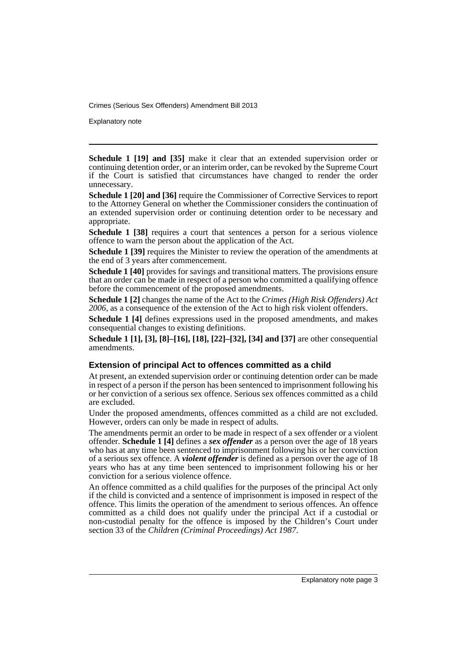Explanatory note

**Schedule 1 [19] and [35]** make it clear that an extended supervision order or continuing detention order, or an interim order, can be revoked by the Supreme Court if the Court is satisfied that circumstances have changed to render the order unnecessary.

**Schedule 1 [20] and [36]** require the Commissioner of Corrective Services to report to the Attorney General on whether the Commissioner considers the continuation of an extended supervision order or continuing detention order to be necessary and appropriate.

**Schedule 1 [38]** requires a court that sentences a person for a serious violence offence to warn the person about the application of the Act.

**Schedule 1 [39]** requires the Minister to review the operation of the amendments at the end of 3 years after commencement.

**Schedule 1 [40]** provides for savings and transitional matters. The provisions ensure that an order can be made in respect of a person who committed a qualifying offence before the commencement of the proposed amendments.

**Schedule 1 [2]** changes the name of the Act to the *Crimes (High Risk Offenders) Act 2006*, as a consequence of the extension of the Act to high risk violent offenders.

**Schedule 1 [4]** defines expressions used in the proposed amendments, and makes consequential changes to existing definitions.

**Schedule 1 [1], [3], [8]–[16], [18], [22]–[32], [34] and [37]** are other consequential amendments.

### **Extension of principal Act to offences committed as a child**

At present, an extended supervision order or continuing detention order can be made in respect of a person if the person has been sentenced to imprisonment following his or her conviction of a serious sex offence. Serious sex offences committed as a child are excluded.

Under the proposed amendments, offences committed as a child are not excluded. However, orders can only be made in respect of adults.

The amendments permit an order to be made in respect of a sex offender or a violent offender. **Schedule 1 [4]** defines a *sex offender* as a person over the age of 18 years who has at any time been sentenced to imprisonment following his or her conviction of a serious sex offence. A *violent offender* is defined as a person over the age of 18 years who has at any time been sentenced to imprisonment following his or her conviction for a serious violence offence.

An offence committed as a child qualifies for the purposes of the principal Act only if the child is convicted and a sentence of imprisonment is imposed in respect of the offence. This limits the operation of the amendment to serious offences. An offence committed as a child does not qualify under the principal Act if a custodial or non-custodial penalty for the offence is imposed by the Children's Court under section 33 of the *Children (Criminal Proceedings) Act 1987*.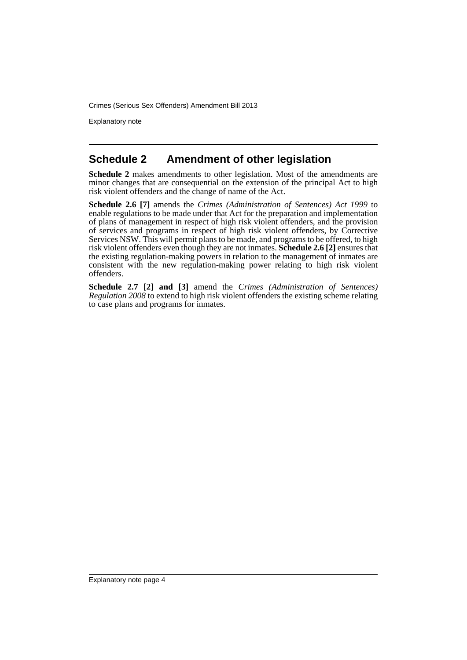Explanatory note

## **Schedule 2 Amendment of other legislation**

**Schedule 2** makes amendments to other legislation. Most of the amendments are minor changes that are consequential on the extension of the principal Act to high risk violent offenders and the change of name of the Act.

**Schedule 2.6 [7]** amends the *Crimes (Administration of Sentences) Act 1999* to enable regulations to be made under that Act for the preparation and implementation of plans of management in respect of high risk violent offenders, and the provision of services and programs in respect of high risk violent offenders, by Corrective Services NSW. This will permit plans to be made, and programs to be offered, to high risk violent offenders even though they are not inmates. **Schedule 2.6 [2]** ensures that the existing regulation-making powers in relation to the management of inmates are consistent with the new regulation-making power relating to high risk violent offenders.

**Schedule 2.7 [2] and [3]** amend the *Crimes (Administration of Sentences) Regulation 2008* to extend to high risk violent offenders the existing scheme relating to case plans and programs for inmates.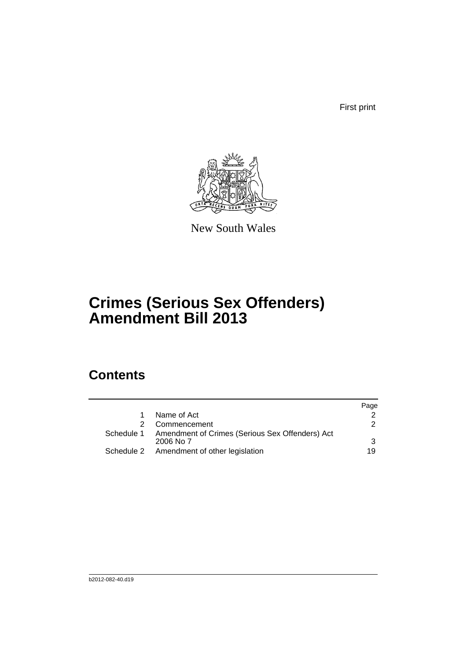First print



New South Wales

# **Crimes (Serious Sex Offenders) Amendment Bill 2013**

# **Contents**

|                                                                         | Page          |
|-------------------------------------------------------------------------|---------------|
| Name of Act                                                             |               |
| Commencement                                                            | $\mathcal{P}$ |
| Schedule 1 Amendment of Crimes (Serious Sex Offenders) Act<br>2006 No 7 | 3             |
|                                                                         |               |
| Schedule 2 Amendment of other legislation                               | 19            |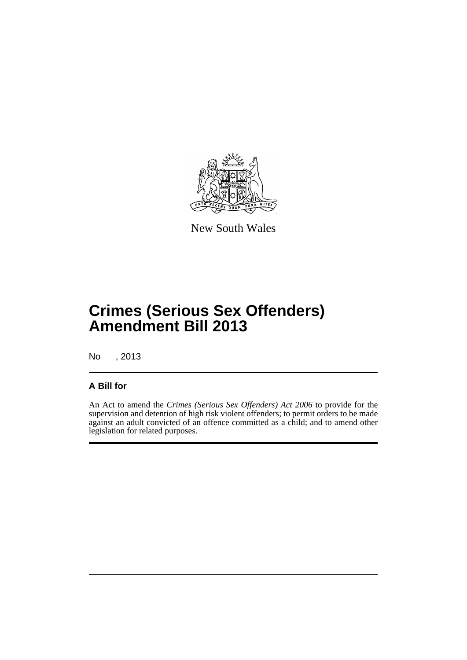

New South Wales

# **Crimes (Serious Sex Offenders) Amendment Bill 2013**

No , 2013

### **A Bill for**

An Act to amend the *Crimes (Serious Sex Offenders) Act 2006* to provide for the supervision and detention of high risk violent offenders; to permit orders to be made against an adult convicted of an offence committed as a child; and to amend other legislation for related purposes.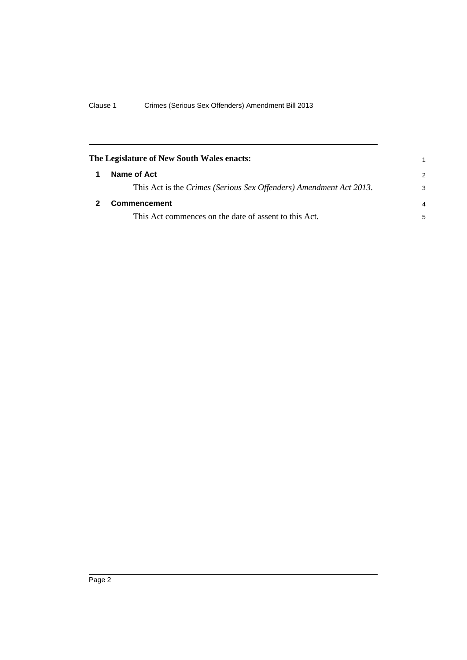<span id="page-7-1"></span><span id="page-7-0"></span>

| The Legislature of New South Wales enacts:                         |                |
|--------------------------------------------------------------------|----------------|
| Name of Act                                                        | $\overline{2}$ |
| This Act is the Crimes (Serious Sex Offenders) Amendment Act 2013. | 3              |
| <b>Commencement</b>                                                | $\overline{4}$ |
| This Act commences on the date of assent to this Act.              | 5              |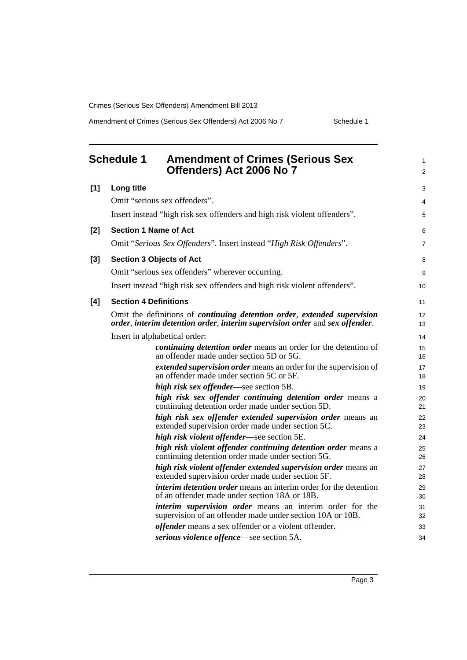Amendment of Crimes (Serious Sex Offenders) Act 2006 No 7 Schedule 1

<span id="page-8-0"></span>

|       | <b>Schedule 1</b>            | <b>Amendment of Crimes (Serious Sex</b><br>Offenders) Act 2006 No 7                                                                                                    | $\mathbf{1}$<br>$\overline{2}$ |
|-------|------------------------------|------------------------------------------------------------------------------------------------------------------------------------------------------------------------|--------------------------------|
| [1]   | Long title                   |                                                                                                                                                                        | 3                              |
|       |                              | Omit "serious sex offenders".                                                                                                                                          | 4                              |
|       |                              | Insert instead "high risk sex offenders and high risk violent offenders".                                                                                              | 5                              |
| $[2]$ |                              | <b>Section 1 Name of Act</b>                                                                                                                                           | 6                              |
|       |                              | Omit "Serious Sex Offenders". Insert instead "High Risk Offenders".                                                                                                    | $\overline{7}$                 |
| $[3]$ |                              | <b>Section 3 Objects of Act</b>                                                                                                                                        | 8                              |
|       |                              | Omit "serious sex offenders" wherever occurring.                                                                                                                       | 9                              |
|       |                              | Insert instead "high risk sex offenders and high risk violent offenders".                                                                                              | 10                             |
| [4]   | <b>Section 4 Definitions</b> |                                                                                                                                                                        | 11                             |
|       |                              | Omit the definitions of <i>continuing detention order</i> , <i>extended supervision</i><br>order, interim detention order, interim supervision order and sex offender. | 12<br>13                       |
|       |                              | Insert in alphabetical order:                                                                                                                                          | 14                             |
|       |                              | <i>continuing detention order</i> means an order for the detention of<br>an offender made under section 5D or 5G.                                                      | 15<br>16                       |
|       |                              | extended supervision order means an order for the supervision of<br>an offender made under section 5C or 5F.                                                           | 17<br>18                       |
|       |                              | high risk sex offender—see section 5B.                                                                                                                                 | 19                             |
|       |                              | high risk sex offender continuing detention order means a<br>continuing detention order made under section 5D.                                                         | 20<br>21                       |
|       |                              | high risk sex offender extended supervision order means an<br>extended supervision order made under section 5C.                                                        | 22<br>23                       |
|       |                              | high risk violent offender—see section 5E.                                                                                                                             | 24                             |
|       |                              | high risk violent offender continuing detention order means a<br>continuing detention order made under section 5G.                                                     | 25<br>26                       |
|       |                              | high risk violent offender extended supervision order means an<br>extended supervision order made under section 5F.                                                    | 27<br>28                       |
|       |                              | <i>interim detention order</i> means an interim order for the detention<br>of an offender made under section 18A or 18B.                                               | 29<br>30                       |
|       |                              | <i>interim supervision order</i> means an interim order for the<br>supervision of an offender made under section 10A or 10B.                                           | 31<br>32                       |
|       |                              | <i>offender</i> means a sex offender or a violent offender.                                                                                                            | 33                             |
|       |                              | serious violence offence—see section 5A.                                                                                                                               | 34                             |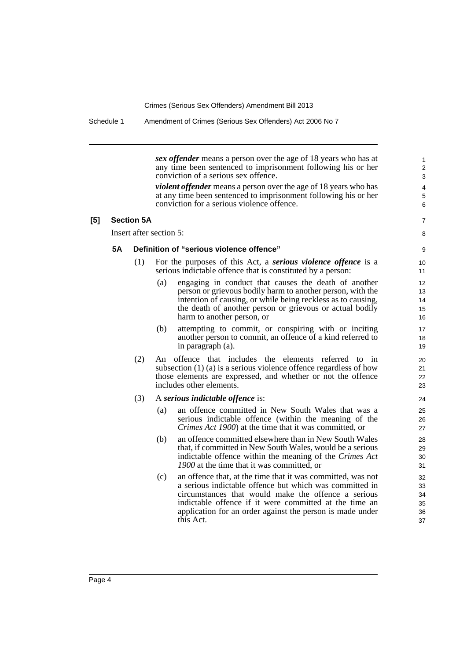*sex offender* means a person over the age of 18 years who has at any time been sentenced to imprisonment following his or her conviction of a serious sex offence. 3

2

1

5 4

15  $14$ 13

18

22 21

 $26$ 

30 29

*violent offender* means a person over the age of 18 years who has at any time been sentenced to imprisonment following his or her conviction for a serious violence offence. 6

### **[5] Section 5A** 7

Insert after section 5: 8

### **5A Definition of "serious violence offence"** 9

- (1) For the purposes of this Act, a *serious violence offence* is a 10 serious indictable offence that is constituted by a person: 11
	- (a) engaging in conduct that causes the death of another 12 person or grievous bodily harm to another person, with the intention of causing, or while being reckless as to causing, the death of another person or grievous or actual bodily harm to another person, or 16
	- (b) attempting to commit, or conspiring with or inciting 17 another person to commit, an offence of a kind referred to  $\frac{1}{9}$  in paragraph (a).
- (2) An offence that includes the elements referred to in 20 subsection (1) (a) is a serious violence offence regardless of how those elements are expressed, and whether or not the offence includes other elements. 23

### (3) A *serious indictable offence* is: 24

- (a) an offence committed in New South Wales that was a 25 serious indictable offence (within the meaning of the *Crimes Act 1900*) at the time that it was committed, or 27
- (b) an offence committed elsewhere than in New South Wales 28 that, if committed in New South Wales, would be a serious indictable offence within the meaning of the *Crimes Act 1900* at the time that it was committed, or 31
- $(c)$ an offence that, at the time that it was committed, was not 32 a serious indictable offence but which was committed in circumstances that would make the offence a serious indictable offence if it were committed at the time an application for an order against the person is made under this Act. 37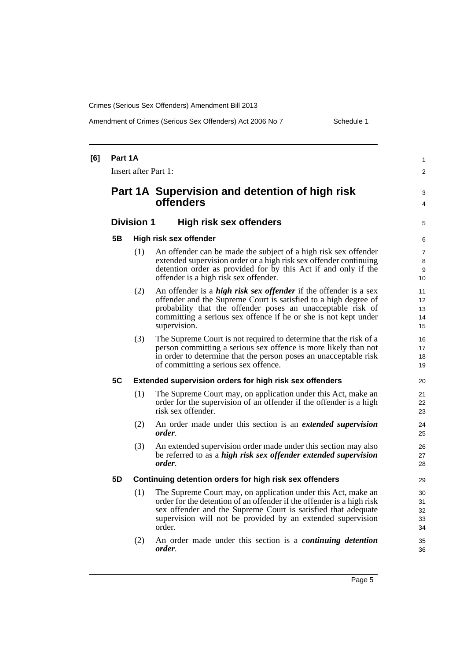Amendment of Crimes (Serious Sex Offenders) Act 2006 No 7 Schedule 1

| [6] | Part 1A              |                   |                                                                                                                                                                                                                                                                                              | $\mathbf{1}$               |  |
|-----|----------------------|-------------------|----------------------------------------------------------------------------------------------------------------------------------------------------------------------------------------------------------------------------------------------------------------------------------------------|----------------------------|--|
|     | Insert after Part 1: |                   |                                                                                                                                                                                                                                                                                              |                            |  |
|     |                      |                   | Part 1A Supervision and detention of high risk<br><b>offenders</b>                                                                                                                                                                                                                           | 3<br>4                     |  |
|     |                      | <b>Division 1</b> | <b>High risk sex offenders</b>                                                                                                                                                                                                                                                               | 5                          |  |
|     | 5B                   |                   | High risk sex offender                                                                                                                                                                                                                                                                       | 6                          |  |
|     |                      | (1)               | An offender can be made the subject of a high risk sex offender<br>extended supervision order or a high risk sex offender continuing<br>detention order as provided for by this Act if and only if the<br>offender is a high risk sex offender.                                              | 7<br>8<br>9<br>10          |  |
|     |                      | (2)               | An offender is a <i>high risk sex offender</i> if the offender is a sex<br>offender and the Supreme Court is satisfied to a high degree of<br>probability that the offender poses an unacceptable risk of<br>committing a serious sex offence if he or she is not kept under<br>supervision. | 11<br>12<br>13<br>14<br>15 |  |
|     |                      | (3)               | The Supreme Court is not required to determine that the risk of a<br>person committing a serious sex offence is more likely than not<br>in order to determine that the person poses an unacceptable risk<br>of committing a serious sex offence.                                             | 16<br>17<br>18<br>19       |  |
|     | 5C                   |                   | Extended supervision orders for high risk sex offenders                                                                                                                                                                                                                                      | 20                         |  |
|     |                      | (1)               | The Supreme Court may, on application under this Act, make an<br>order for the supervision of an offender if the offender is a high<br>risk sex offender.                                                                                                                                    | 21<br>22<br>23             |  |
|     |                      | (2)               | An order made under this section is an <i>extended supervision</i><br>order.                                                                                                                                                                                                                 | 24<br>25                   |  |
|     |                      | (3)               | An extended supervision order made under this section may also<br>be referred to as a <i>high risk sex offender extended supervision</i><br><i>order.</i>                                                                                                                                    | 26<br>27<br>28             |  |
|     | 5D                   |                   | Continuing detention orders for high risk sex offenders                                                                                                                                                                                                                                      | 29                         |  |
|     |                      | (1)               | The Supreme Court may, on application under this Act, make an<br>order for the detention of an offender if the offender is a high risk<br>sex offender and the Supreme Court is satisfied that adequate<br>supervision will not be provided by an extended supervision<br>order.             | 30<br>31<br>32<br>33<br>34 |  |
|     |                      | (2)               | An order made under this section is a <i>continuing detention</i><br>order.                                                                                                                                                                                                                  | 35<br>36                   |  |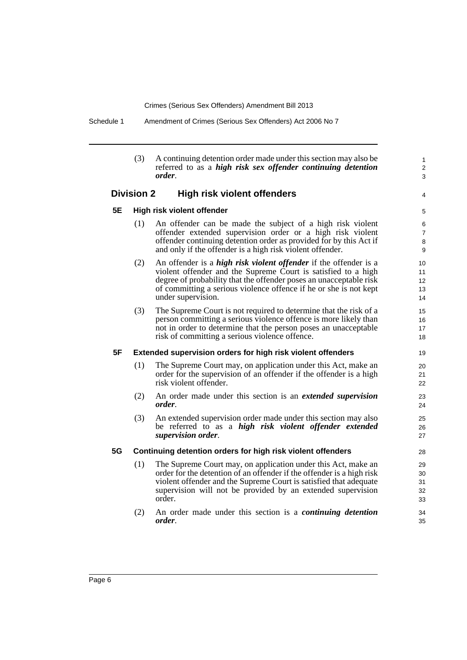Schedule 1 Amendment of Crimes (Serious Sex Offenders) Act 2006 No 7

|    | (3)               | A continuing detention order made under this section may also be<br>referred to as a high risk sex offender continuing detention<br>order.                                                                                                                                                                | $\mathbf{1}$<br>2<br>3             |
|----|-------------------|-----------------------------------------------------------------------------------------------------------------------------------------------------------------------------------------------------------------------------------------------------------------------------------------------------------|------------------------------------|
|    | <b>Division 2</b> | <b>High risk violent offenders</b>                                                                                                                                                                                                                                                                        | 4                                  |
| 5E |                   | High risk violent offender                                                                                                                                                                                                                                                                                | 5                                  |
|    | (1)               | An offender can be made the subject of a high risk violent<br>offender extended supervision order or a high risk violent<br>offender continuing detention order as provided for by this Act if<br>and only if the offender is a high risk violent offender.                                               | 6<br>$\overline{7}$<br>$\, 8$<br>9 |
|    | (2)               | An offender is a <i>high risk violent offender</i> if the offender is a<br>violent offender and the Supreme Court is satisfied to a high<br>degree of probability that the offender poses an unacceptable risk<br>of committing a serious violence offence if he or she is not kept<br>under supervision. | 10<br>11<br>12<br>13<br>14         |
|    | (3)               | The Supreme Court is not required to determine that the risk of a<br>person committing a serious violence offence is more likely than<br>not in order to determine that the person poses an unacceptable<br>risk of committing a serious violence offence.                                                | 15<br>16<br>17<br>18               |
| 5F |                   | Extended supervision orders for high risk violent offenders                                                                                                                                                                                                                                               | 19                                 |
|    | (1)               | The Supreme Court may, on application under this Act, make an<br>order for the supervision of an offender if the offender is a high<br>risk violent offender.                                                                                                                                             | 20<br>21<br>22                     |
|    | (2)               | An order made under this section is an <i>extended supervision</i><br>order.                                                                                                                                                                                                                              | 23<br>24                           |
|    | (3)               | An extended supervision order made under this section may also<br>be referred to as a high risk violent offender extended<br>supervision order.                                                                                                                                                           | 25<br>26<br>27                     |
| 5G |                   | Continuing detention orders for high risk violent offenders                                                                                                                                                                                                                                               | 28                                 |
|    | (1)               | The Supreme Court may, on application under this Act, make an<br>order for the detention of an offender if the offender is a high risk<br>violent offender and the Supreme Court is satisfied that adequate<br>supervision will not be provided by an extended supervision<br>order.                      | 29<br>30<br>31<br>32<br>33         |
|    | (2)               | An order made under this section is a <i>continuing detention</i><br>order.                                                                                                                                                                                                                               | 34<br>35                           |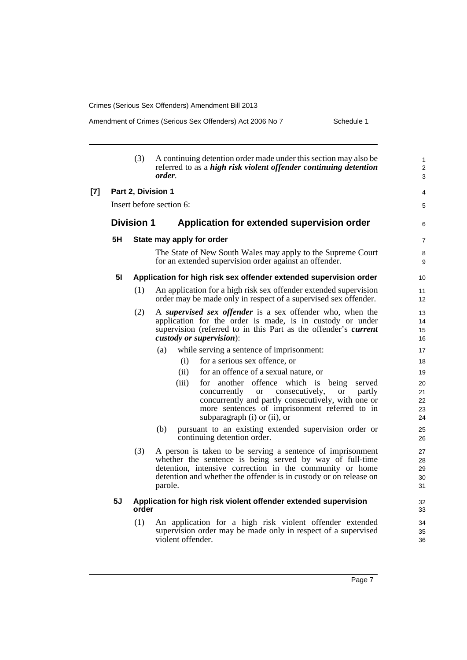### Amendment of Crimes (Serious Sex Offenders) Act 2006 No 7 Schedule 1

|       |                | (3)               | A continuing detention order made under this section may also be<br>referred to as a high risk violent offender continuing detention<br>order.                                                                                                                                   | $\mathbf{1}$<br>$\overline{c}$<br>3 |
|-------|----------------|-------------------|----------------------------------------------------------------------------------------------------------------------------------------------------------------------------------------------------------------------------------------------------------------------------------|-------------------------------------|
| $[7]$ |                |                   | Part 2, Division 1                                                                                                                                                                                                                                                               | 4                                   |
|       |                |                   | Insert before section 6:                                                                                                                                                                                                                                                         | 5                                   |
|       |                | <b>Division 1</b> | Application for extended supervision order                                                                                                                                                                                                                                       | 6                                   |
|       | 5H             |                   | State may apply for order                                                                                                                                                                                                                                                        | $\overline{7}$                      |
|       |                |                   | The State of New South Wales may apply to the Supreme Court<br>for an extended supervision order against an offender.                                                                                                                                                            | 8<br>9                              |
|       | 5 <sub>1</sub> |                   | Application for high risk sex offender extended supervision order                                                                                                                                                                                                                | 10                                  |
|       |                | (1)               | An application for a high risk sex offender extended supervision<br>order may be made only in respect of a supervised sex offender.                                                                                                                                              | 11<br>12                            |
|       |                | (2)               | A supervised sex offender is a sex offender who, when the<br>application for the order is made, is in custody or under<br>supervision (referred to in this Part as the offender's <i>current</i><br>custody or supervision):                                                     | 13<br>14<br>15<br>16                |
|       |                |                   | while serving a sentence of imprisonment:<br>(a)                                                                                                                                                                                                                                 | 17                                  |
|       |                |                   | for a serious sex offence, or<br>(i)                                                                                                                                                                                                                                             | 18                                  |
|       |                |                   | for an offence of a sexual nature, or<br>(ii)                                                                                                                                                                                                                                    | 19                                  |
|       |                |                   | offence which is being<br>(iii)<br>another<br>for<br>served<br>concurrently<br>consecutively,<br>partly<br><sub>or</sub><br><sub>or</sub><br>concurrently and partly consecutively, with one or<br>more sentences of imprisonment referred to in<br>subparagraph (i) or (ii), or | 20<br>21<br>22<br>23<br>24          |
|       |                |                   | pursuant to an existing extended supervision order or<br>(b)<br>continuing detention order.                                                                                                                                                                                      | 25<br>26                            |
|       |                | (3)               | A person is taken to be serving a sentence of imprisonment<br>whether the sentence is being served by way of full-time<br>detention, intensive correction in the community or home<br>detention and whether the offender is in custody or on release on<br>parole.               | 27<br>28<br>29<br>30<br>31          |
|       | 5J             | order             | Application for high risk violent offender extended supervision                                                                                                                                                                                                                  | 32<br>33                            |
|       |                | (1)               | An application for a high risk violent offender extended<br>supervision order may be made only in respect of a supervised<br>violent offender.                                                                                                                                   | 34<br>35<br>36                      |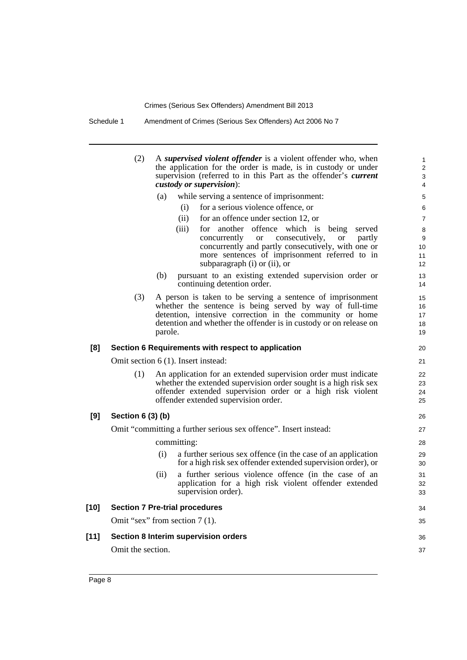Schedule 1 Amendment of Crimes (Serious Sex Offenders) Act 2006 No 7

|        | (2)               |         | A supervised violent offender is a violent offender who, when<br>the application for the order is made, is in custody or under<br>supervision (referred to in this Part as the offender's current<br>custody or supervision):                               | $\mathbf{1}$<br>$\overline{2}$<br>3<br>4 |
|--------|-------------------|---------|-------------------------------------------------------------------------------------------------------------------------------------------------------------------------------------------------------------------------------------------------------------|------------------------------------------|
|        |                   | (a)     | while serving a sentence of imprisonment:                                                                                                                                                                                                                   | 5                                        |
|        |                   |         | for a serious violence offence, or<br>(i)                                                                                                                                                                                                                   | 6                                        |
|        |                   |         | (ii)<br>for an offence under section 12, or                                                                                                                                                                                                                 | $\overline{7}$                           |
|        |                   |         | for another offence which is being<br>(iii)<br>served<br>concurrently<br>consecutively,<br><b>or</b><br>partly<br>or<br>concurrently and partly consecutively, with one or<br>more sentences of imprisonment referred to in<br>subparagraph (i) or (ii), or | 8<br>9<br>10<br>11<br>12 <sup>2</sup>    |
|        |                   | (b)     | pursuant to an existing extended supervision order or<br>continuing detention order.                                                                                                                                                                        | 13<br>14                                 |
|        | (3)               | parole. | A person is taken to be serving a sentence of imprisonment<br>whether the sentence is being served by way of full-time<br>detention, intensive correction in the community or home<br>detention and whether the offender is in custody or on release on     | 15<br>16<br>17<br>18<br>19               |
| [8]    |                   |         | Section 6 Requirements with respect to application                                                                                                                                                                                                          | 20                                       |
|        |                   |         | Omit section 6 (1). Insert instead:                                                                                                                                                                                                                         | 21                                       |
|        | (1)               |         | An application for an extended supervision order must indicate<br>whether the extended supervision order sought is a high risk sex<br>offender extended supervision order or a high risk violent<br>offender extended supervision order.                    | 22<br>23<br>24<br>25                     |
| [9]    | Section 6 (3) (b) |         |                                                                                                                                                                                                                                                             | 26                                       |
|        |                   |         | Omit "committing a further serious sex offence". Insert instead:                                                                                                                                                                                            | 27                                       |
|        |                   |         | committing:                                                                                                                                                                                                                                                 | 28                                       |
|        |                   | (i)     | a further serious sex offence (in the case of an application<br>for a high risk sex offender extended supervision order), or                                                                                                                                | 29<br>30                                 |
|        |                   | (ii)    | a further serious violence offence (in the case of an<br>application for a high risk violent offender extended<br>supervision order).                                                                                                                       | 31<br>32<br>33                           |
| $[10]$ |                   |         | <b>Section 7 Pre-trial procedures</b>                                                                                                                                                                                                                       | 34                                       |
|        |                   |         | Omit "sex" from section 7 (1).                                                                                                                                                                                                                              | 35                                       |
| $[11]$ |                   |         | Section 8 Interim supervision orders                                                                                                                                                                                                                        | 36                                       |
|        | Omit the section. |         |                                                                                                                                                                                                                                                             |                                          |
|        |                   |         |                                                                                                                                                                                                                                                             | 37                                       |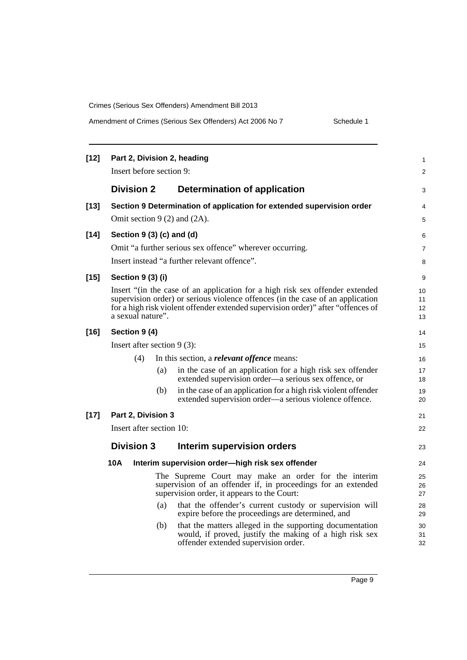| Amendment of Crimes (Serious Sex Offenders) Act 2006 No 7 |  |  |
|-----------------------------------------------------------|--|--|
|-----------------------------------------------------------|--|--|

Schedule 1

| $[12]$ | Part 2, Division 2, heading<br>Insert before section 9: |     |                                                                                                                                                                                                                                                    |                      |  |
|--------|---------------------------------------------------------|-----|----------------------------------------------------------------------------------------------------------------------------------------------------------------------------------------------------------------------------------------------------|----------------------|--|
|        | <b>Division 2</b>                                       |     | Determination of application                                                                                                                                                                                                                       | 3                    |  |
| $[13]$ | Omit section $9(2)$ and $(2A)$ .                        |     | Section 9 Determination of application for extended supervision order                                                                                                                                                                              | 4<br>5               |  |
| $[14]$ | Section $9(3)(c)$ and $(d)$                             |     | Omit "a further serious sex offence" wherever occurring.                                                                                                                                                                                           | 6<br>$\overline{7}$  |  |
| $[15]$ | Section 9 (3) (i)                                       |     | Insert instead "a further relevant offence".                                                                                                                                                                                                       | 8<br>9               |  |
|        | a sexual nature".                                       |     | Insert "(in the case of an application for a high risk sex offender extended<br>supervision order) or serious violence offences (in the case of an application<br>for a high risk violent offender extended supervision order)" after "offences of | 10<br>11<br>12<br>13 |  |
| $[16]$ | Section 9 (4)                                           |     |                                                                                                                                                                                                                                                    | 14                   |  |
|        | Insert after section $9(3)$ :                           |     |                                                                                                                                                                                                                                                    | 15                   |  |
|        | (4)                                                     |     | In this section, a <i>relevant offence</i> means:                                                                                                                                                                                                  | 16                   |  |
|        |                                                         | (a) | in the case of an application for a high risk sex offender<br>extended supervision order—a serious sex offence, or                                                                                                                                 | 17<br>18             |  |
|        |                                                         | (b) | in the case of an application for a high risk violent offender<br>extended supervision order—a serious violence offence.                                                                                                                           | 19<br>20             |  |
| $[17]$ | Part 2, Division 3                                      |     |                                                                                                                                                                                                                                                    | 21                   |  |
|        | Insert after section 10:                                |     |                                                                                                                                                                                                                                                    | 22                   |  |
|        | <b>Division 3</b>                                       |     | Interim supervision orders                                                                                                                                                                                                                         | 23                   |  |
|        | 10A                                                     |     | Interim supervision order-high risk sex offender                                                                                                                                                                                                   | 24                   |  |
|        |                                                         |     | The Supreme Court may make an order for the interim<br>supervision of an offender if, in proceedings for an extended<br>supervision order, it appears to the Court:                                                                                | 25<br>26<br>27       |  |
|        |                                                         | (a) | that the offender's current custody or supervision will<br>expire before the proceedings are determined, and                                                                                                                                       | 28<br>29             |  |
|        |                                                         | (b) | that the matters alleged in the supporting documentation<br>would, if proved, justify the making of a high risk sex<br>offender extended supervision order.                                                                                        | 30<br>31<br>32       |  |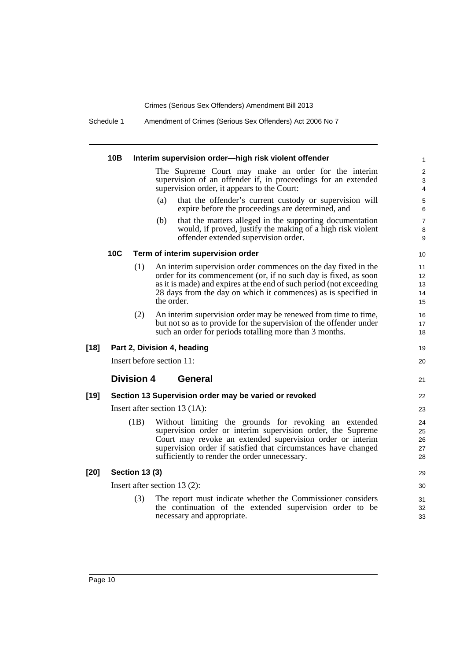Schedule 1 Amendment of Crimes (Serious Sex Offenders) Act 2006 No 7

|        | 10B        |                       | Interim supervision order-high risk violent offender                                                                                                                                                                                                                                                 | $\mathbf{1}$               |
|--------|------------|-----------------------|------------------------------------------------------------------------------------------------------------------------------------------------------------------------------------------------------------------------------------------------------------------------------------------------------|----------------------------|
|        |            |                       | The Supreme Court may make an order for the interim<br>supervision of an offender if, in proceedings for an extended<br>supervision order, it appears to the Court:                                                                                                                                  | $\boldsymbol{2}$<br>3<br>4 |
|        |            |                       | (a)<br>that the offender's current custody or supervision will<br>expire before the proceedings are determined, and                                                                                                                                                                                  | $\,$ 5 $\,$<br>6           |
|        |            |                       | that the matters alleged in the supporting documentation<br>(b)<br>would, if proved, justify the making of a high risk violent<br>offender extended supervision order.                                                                                                                               | $\overline{7}$<br>8<br>9   |
|        | <b>10C</b> |                       | Term of interim supervision order                                                                                                                                                                                                                                                                    | 10                         |
|        |            | (1)                   | An interim supervision order commences on the day fixed in the<br>order for its commencement (or, if no such day is fixed, as soon<br>as it is made) and expires at the end of such period (not exceeding<br>28 days from the day on which it commences) as is specified in<br>the order.            | 11<br>12<br>13<br>14<br>15 |
|        |            | (2)                   | An interim supervision order may be renewed from time to time,<br>but not so as to provide for the supervision of the offender under<br>such an order for periods totalling more than 3 months.                                                                                                      | 16<br>17<br>18             |
| $[18]$ |            |                       | Part 2, Division 4, heading                                                                                                                                                                                                                                                                          | 19                         |
|        |            |                       | Insert before section 11:                                                                                                                                                                                                                                                                            | 20                         |
|        |            | <b>Division 4</b>     | <b>General</b>                                                                                                                                                                                                                                                                                       | 21                         |
| $[19]$ |            |                       | Section 13 Supervision order may be varied or revoked                                                                                                                                                                                                                                                | 22                         |
|        |            |                       | Insert after section $13 (1A)$ :                                                                                                                                                                                                                                                                     | 23                         |
|        |            | (1B)                  | Without limiting the grounds for revoking an extended<br>supervision order or interim supervision order, the Supreme<br>Court may revoke an extended supervision order or interim<br>supervision order if satisfied that circumstances have changed<br>sufficiently to render the order unnecessary. | 24<br>25<br>26<br>27<br>28 |
| $[20]$ |            | <b>Section 13 (3)</b> |                                                                                                                                                                                                                                                                                                      | 29                         |
|        |            |                       | Insert after section $13(2)$ :                                                                                                                                                                                                                                                                       | 30                         |
|        |            | (3)                   | The report must indicate whether the Commissioner considers<br>the continuation of the extended supervision order to be<br>necessary and appropriate.                                                                                                                                                | 31<br>32<br>33             |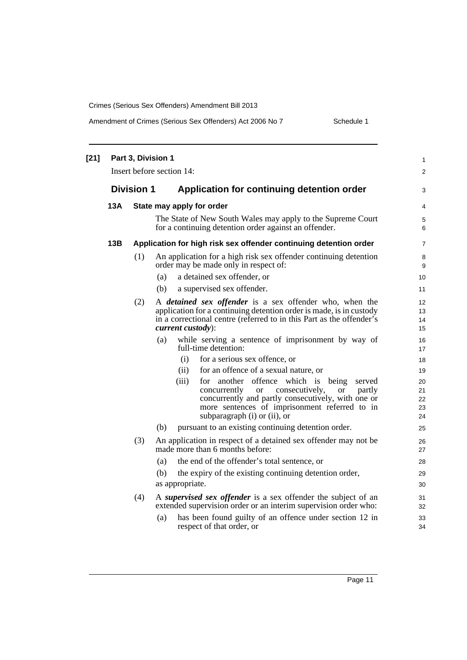| $[21]$ |     | Part 3, Division 1 | Insert before section 14:                                                                                                                                                                                                                                             | 1<br>$\boldsymbol{2}$      |
|--------|-----|--------------------|-----------------------------------------------------------------------------------------------------------------------------------------------------------------------------------------------------------------------------------------------------------------------|----------------------------|
|        |     | <b>Division 1</b>  | Application for continuing detention order                                                                                                                                                                                                                            | 3                          |
|        | 13A |                    | State may apply for order                                                                                                                                                                                                                                             | 4                          |
|        |     |                    | The State of New South Wales may apply to the Supreme Court<br>for a continuing detention order against an offender.                                                                                                                                                  | 5<br>6                     |
|        | 13B |                    | Application for high risk sex offender continuing detention order                                                                                                                                                                                                     | $\overline{7}$             |
|        |     | (1)                | An application for a high risk sex offender continuing detention<br>order may be made only in respect of:                                                                                                                                                             | 8<br>9                     |
|        |     |                    | a detained sex offender, or<br>(a)                                                                                                                                                                                                                                    | 10                         |
|        |     |                    | (b)<br>a supervised sex offender.                                                                                                                                                                                                                                     | 11                         |
|        |     | (2)                | A <i>detained sex offender</i> is a sex offender who, when the<br>application for a continuing detention order is made, is in custody<br>in a correctional centre (referred to in this Part as the offender's<br>current custody):                                    | 12<br>13<br>14<br>15       |
|        |     |                    | while serving a sentence of imprisonment by way of<br>(a)<br>full-time detention:                                                                                                                                                                                     | 16<br>17                   |
|        |     |                    | (i)<br>for a serious sex offence, or                                                                                                                                                                                                                                  | 18                         |
|        |     |                    | for an offence of a sexual nature, or<br>(ii)                                                                                                                                                                                                                         | 19                         |
|        |     |                    | (iii)<br>offence which is being<br>for another<br>served<br>concurrently<br>consecutively,<br><b>or</b><br>partly<br><b>or</b><br>concurrently and partly consecutively, with one or<br>more sentences of imprisonment referred to in<br>subparagraph (i) or (ii), or | 20<br>21<br>22<br>23<br>24 |
|        |     |                    | pursuant to an existing continuing detention order.<br>(b)                                                                                                                                                                                                            | 25                         |
|        |     | (3)                | An application in respect of a detained sex offender may not be<br>made more than 6 months before:                                                                                                                                                                    | 26<br>27                   |
|        |     |                    | the end of the offender's total sentence, or<br>(a)                                                                                                                                                                                                                   | 28                         |
|        |     |                    | the expiry of the existing continuing detention order,<br>(b)                                                                                                                                                                                                         | 29                         |
|        |     |                    | as appropriate.                                                                                                                                                                                                                                                       | 30                         |
|        |     | (4)                | A supervised sex offender is a sex offender the subject of an<br>extended supervision order or an interim supervision order who:                                                                                                                                      | 31<br>32                   |
|        |     |                    | has been found guilty of an offence under section 12 in<br>(a)<br>respect of that order, or                                                                                                                                                                           | 33<br>34                   |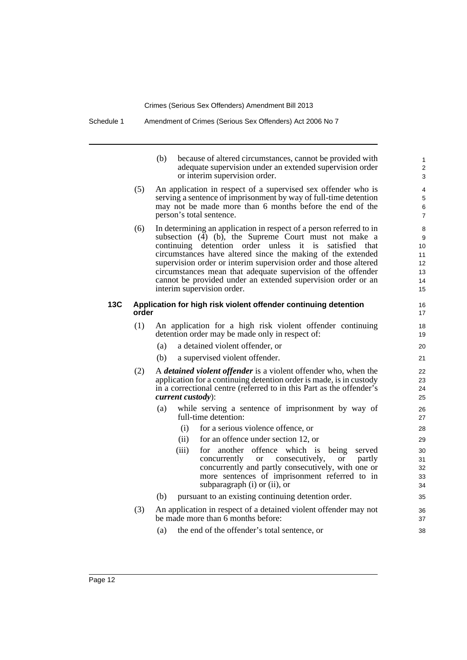|     | (b)                                                           | because of altered circumstances, cannot be provided with<br>adequate supervision under an extended supervision order<br>or interim supervision order.                                                                                    | 1<br>$\mathfrak{p}$<br>3 |  |
|-----|---------------------------------------------------------------|-------------------------------------------------------------------------------------------------------------------------------------------------------------------------------------------------------------------------------------------|--------------------------|--|
| (5) | An application in respect of a supervised sex offender who is |                                                                                                                                                                                                                                           |                          |  |
|     |                                                               | serving a sentence of imprisonment by way of full-time detention                                                                                                                                                                          | 5                        |  |
|     |                                                               | may not be made more than 6 months before the end of the                                                                                                                                                                                  | 6                        |  |
|     |                                                               | person's total sentence.                                                                                                                                                                                                                  | 7                        |  |
|     |                                                               | $\mathcal{L}(\mathcal{L})$ is the set of the set of the set of the set of the set of the set of the set of the set of the set of the set of the set of the set of the set of the set of the set of the set of the set of the set of the s |                          |  |

2

 $24$ 23

33 32 31

(6) In determining an application in respect of a person referred to in 8 subsection  $(\overline{4})$  (b), the Supreme Court must not make a continuing detention order unless it is satisfied that circumstances have altered since the making of the extended supervision order or interim supervision order and those altered circumstances mean that adequate supervision of the offender cannot be provided under an extended supervision order or an interim supervision order.

### **13C Application for high risk violent offender continuing detention** 16 **order** 17

- (1) An application for a high risk violent offender continuing 18 detention order may be made only in respect of: 19
	- (a) a detained violent offender, or 20
	- (b) a supervised violent offender. 21
- (2) A *detained violent offender* is a violent offender who, when the 22 application for a continuing detention order is made, is in custody in a correctional centre (referred to in this Part as the offender's *current custody*): 25
	- (a) while serving a sentence of imprisonment by way of 26 full-time detention: 27
		- (i) for a serious violence offence, or 28
		- (ii) for an offence under section 12, or 29
		- (iii) for another offence which is being served 30<br>concurrently or consecutively, or partly 31 or consecutively, or partly concurrently and partly consecutively, with one or more sentences of imprisonment referred to in subparagraph (i) or (ii), or  $34$
	- (b) pursuant to an existing continuing detention order. 35
- (3) An application in respect of a detained violent offender may not 36 be made more than 6 months before: 37
	- (a) the end of the offender's total sentence, or 38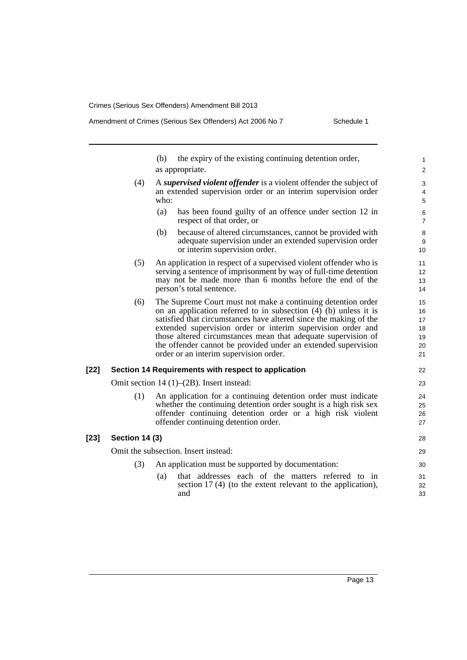(b) the expiry of the existing continuing detention order, as appropriate. 2 (4) 4 A *supervised violent offender* is a violent offender the subject of 3 an extended supervision order or an interim supervision order who:  $\frac{1}{5}$ (a) has been found guilty of an offence under section 12 in 6 respect of that order, or 7 (b) 9 because of altered circumstances, cannot be provided with 8 adequate supervision under an extended supervision order or interim supervision order. 10 (5) 13 12 An application in respect of a supervised violent offender who is 11 serving a sentence of imprisonment by way of full-time detention may not be made more than 6 months before the end of the person's total sentence. (6) 20 19 18 17 16 The Supreme Court must not make a continuing detention order 15 on an application referred to in subsection (4) (b) unless it is satisfied that circumstances have altered since the making of the extended supervision order or interim supervision order and those altered circumstances mean that adequate supervision of the offender cannot be provided under an extended supervision order or an interim supervision order. 21 **[22] Section 14 Requirements with respect to application** 22 Omit section 14 (1)–(2B). Insert instead: 23 (1) 26 25 An application for a continuing detention order must indicate 24 whether the continuing detention order sought is a high risk sex offender continuing detention order or a high risk violent offender continuing detention order. 27 **[23] Section 14 (3)** 28 Omit the subsection. Insert instead: 29 (3) An application must be supported by documentation: 30 (a) 32 that addresses each of the matters referred to in 31 section 17 (4) (to the extent relevant to the application), and

and  $\overline{33}$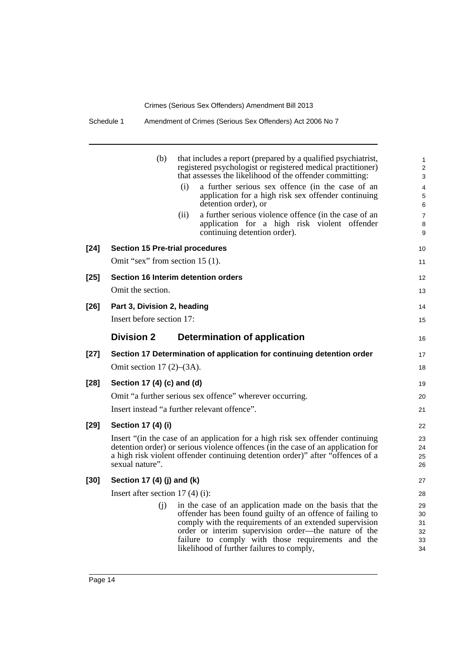Schedule 1 Amendment of Crimes (Serious Sex Offenders) Act 2006 No 7

|        | (b)                                    | that includes a report (prepared by a qualified psychiatrist,<br>registered psychologist or registered medical practitioner)<br>that assesses the likelihood of the offender committing:<br>a further serious sex offence (in the case of an<br>(i)<br>application for a high risk sex offender continuing<br>detention order), or<br>a further serious violence offence (in the case of an<br>(ii)<br>application for a high risk violent offender<br>continuing detention order). | $\mathbf{1}$<br>2<br>3<br>4<br>$\mathbf 5$<br>6<br>$\overline{7}$<br>8<br>9 |
|--------|----------------------------------------|-------------------------------------------------------------------------------------------------------------------------------------------------------------------------------------------------------------------------------------------------------------------------------------------------------------------------------------------------------------------------------------------------------------------------------------------------------------------------------------|-----------------------------------------------------------------------------|
| $[24]$ | <b>Section 15 Pre-trial procedures</b> |                                                                                                                                                                                                                                                                                                                                                                                                                                                                                     | 10                                                                          |
|        | Omit "sex" from section 15 (1).        |                                                                                                                                                                                                                                                                                                                                                                                                                                                                                     | 11                                                                          |
| $[25]$ |                                        | Section 16 Interim detention orders                                                                                                                                                                                                                                                                                                                                                                                                                                                 | 12                                                                          |
|        | Omit the section.                      |                                                                                                                                                                                                                                                                                                                                                                                                                                                                                     | 13                                                                          |
| $[26]$ | Part 3, Division 2, heading            |                                                                                                                                                                                                                                                                                                                                                                                                                                                                                     | 14                                                                          |
|        | Insert before section 17:              |                                                                                                                                                                                                                                                                                                                                                                                                                                                                                     | 15                                                                          |
|        | <b>Division 2</b>                      | <b>Determination of application</b>                                                                                                                                                                                                                                                                                                                                                                                                                                                 | 16                                                                          |
| $[27]$ |                                        | Section 17 Determination of application for continuing detention order                                                                                                                                                                                                                                                                                                                                                                                                              | 17                                                                          |
|        | Omit section $17(2)$ – $(3A)$ .        |                                                                                                                                                                                                                                                                                                                                                                                                                                                                                     | 18                                                                          |
| $[28]$ | Section 17 (4) (c) and (d)             |                                                                                                                                                                                                                                                                                                                                                                                                                                                                                     | 19                                                                          |
|        |                                        | Omit "a further serious sex offence" wherever occurring.                                                                                                                                                                                                                                                                                                                                                                                                                            | 20                                                                          |
|        |                                        | Insert instead "a further relevant offence".                                                                                                                                                                                                                                                                                                                                                                                                                                        | 21                                                                          |
| $[29]$ | Section 17 (4) (i)                     |                                                                                                                                                                                                                                                                                                                                                                                                                                                                                     | 22                                                                          |
|        | sexual nature".                        | Insert "(in the case of an application for a high risk sex offender continuing<br>detention order) or serious violence offences (in the case of an application for<br>a high risk violent offender continuing detention order)" after "offences of a                                                                                                                                                                                                                                | 23<br>24<br>25<br>26                                                        |
| [30]   | Section 17 (4) (j) and (k)             |                                                                                                                                                                                                                                                                                                                                                                                                                                                                                     | 27                                                                          |
|        | Insert after section $17(4)(i)$ :      |                                                                                                                                                                                                                                                                                                                                                                                                                                                                                     | 28                                                                          |
|        | (i)                                    | in the case of an application made on the basis that the<br>offender has been found guilty of an offence of failing to                                                                                                                                                                                                                                                                                                                                                              | 29<br>30                                                                    |
|        |                                        | comply with the requirements of an extended supervision                                                                                                                                                                                                                                                                                                                                                                                                                             | 31                                                                          |
|        |                                        | order or interim supervision order—the nature of the                                                                                                                                                                                                                                                                                                                                                                                                                                | 32                                                                          |
|        |                                        | failure to comply with those requirements and the                                                                                                                                                                                                                                                                                                                                                                                                                                   | 33                                                                          |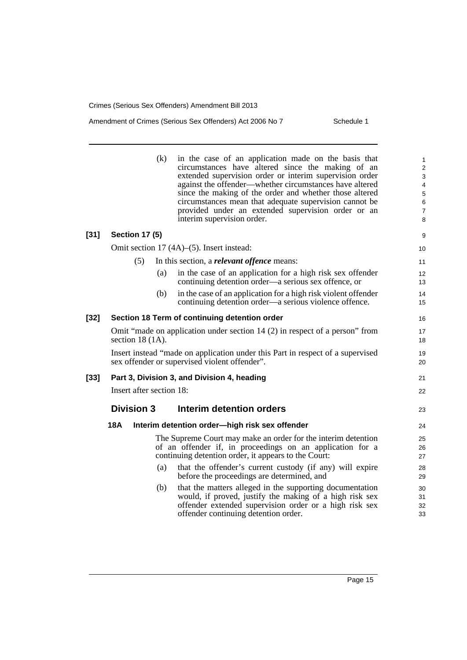### Amendment of Crimes (Serious Sex Offenders) Act 2006 No 7 Schedule 1

|      |                          | (k) | in the case of an application made on the basis that<br>circumstances have altered since the making of an<br>extended supervision order or interim supervision order<br>against the offender—whether circumstances have altered<br>since the making of the order and whether those altered<br>circumstances mean that adequate supervision cannot be<br>provided under an extended supervision order or an<br>interim supervision order. | 1<br>$\overline{2}$<br>3<br>4<br>$\mathbf 5$<br>$\,6$<br>$\overline{7}$<br>8 |
|------|--------------------------|-----|------------------------------------------------------------------------------------------------------------------------------------------------------------------------------------------------------------------------------------------------------------------------------------------------------------------------------------------------------------------------------------------------------------------------------------------|------------------------------------------------------------------------------|
| [31] | <b>Section 17 (5)</b>    |     |                                                                                                                                                                                                                                                                                                                                                                                                                                          | 9                                                                            |
|      |                          |     | Omit section 17 (4A)–(5). Insert instead:                                                                                                                                                                                                                                                                                                                                                                                                | 10                                                                           |
|      | (5)                      |     | In this section, a <i>relevant offence</i> means:                                                                                                                                                                                                                                                                                                                                                                                        | 11                                                                           |
|      |                          | (a) | in the case of an application for a high risk sex offender<br>continuing detention order—a serious sex offence, or                                                                                                                                                                                                                                                                                                                       | 12<br>13                                                                     |
|      |                          | (b) | in the case of an application for a high risk violent offender<br>continuing detention order—a serious violence offence.                                                                                                                                                                                                                                                                                                                 | 14<br>15                                                                     |
| [32] |                          |     | Section 18 Term of continuing detention order                                                                                                                                                                                                                                                                                                                                                                                            | 16                                                                           |
|      | section $18(1A)$ .       |     | Omit "made on application under section 14 (2) in respect of a person" from                                                                                                                                                                                                                                                                                                                                                              | 17<br>18                                                                     |
|      |                          |     | Insert instead "made on application under this Part in respect of a supervised<br>sex offender or supervised violent offender".                                                                                                                                                                                                                                                                                                          | 19<br>20                                                                     |
| [33] |                          |     | Part 3, Division 3, and Division 4, heading                                                                                                                                                                                                                                                                                                                                                                                              | 21                                                                           |
|      | Insert after section 18: |     |                                                                                                                                                                                                                                                                                                                                                                                                                                          | 22                                                                           |
|      | <b>Division 3</b>        |     | Interim detention orders                                                                                                                                                                                                                                                                                                                                                                                                                 | 23                                                                           |
|      | <b>18A</b>               |     | Interim detention order-high risk sex offender                                                                                                                                                                                                                                                                                                                                                                                           | 24                                                                           |
|      |                          |     | The Supreme Court may make an order for the interim detention<br>of an offender if, in proceedings on an application for a<br>continuing detention order, it appears to the Court:                                                                                                                                                                                                                                                       | 25<br>26<br>27                                                               |
|      |                          | (a) | that the offender's current custody (if any) will expire<br>before the proceedings are determined, and                                                                                                                                                                                                                                                                                                                                   | 28<br>29                                                                     |
|      |                          | (b) | that the matters alleged in the supporting documentation<br>would, if proved, justify the making of a high risk sex<br>offender extended supervision order or a high risk sex<br>offender continuing detention order.                                                                                                                                                                                                                    | 30<br>31<br>32<br>33                                                         |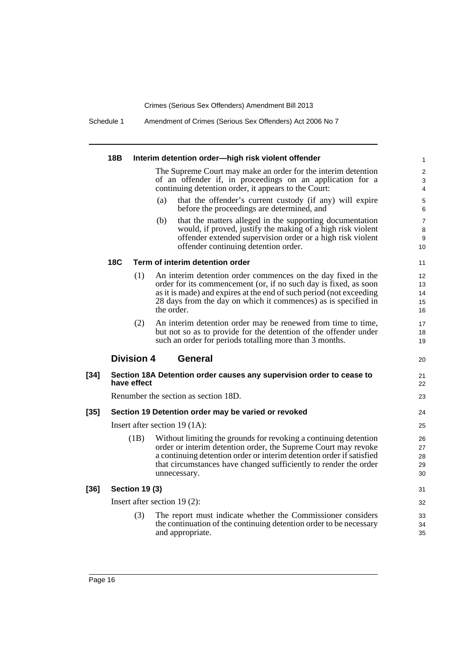Schedule 1 Amendment of Crimes (Serious Sex Offenders) Act 2006 No 7

|        | 18B |                       | Interim detention order-high risk violent offender                                                                                                                                                                                                                                             | $\mathbf{1}$                   |
|--------|-----|-----------------------|------------------------------------------------------------------------------------------------------------------------------------------------------------------------------------------------------------------------------------------------------------------------------------------------|--------------------------------|
|        |     |                       | The Supreme Court may make an order for the interim detention<br>of an offender if, in proceedings on an application for a<br>continuing detention order, it appears to the Court:                                                                                                             | $\overline{2}$<br>3<br>4       |
|        |     |                       | that the offender's current custody (if any) will expire<br>(a)<br>before the proceedings are determined, and                                                                                                                                                                                  | 5<br>6                         |
|        | 18C |                       | (b)<br>that the matters alleged in the supporting documentation<br>would, if proved, justify the making of a high risk violent<br>offender extended supervision order or a high risk violent<br>offender continuing detention order.                                                           | $\overline{7}$<br>8<br>9<br>10 |
|        |     |                       | Term of interim detention order                                                                                                                                                                                                                                                                | 11                             |
|        |     | (1)                   | An interim detention order commences on the day fixed in the<br>order for its commencement (or, if no such day is fixed, as soon<br>as it is made) and expires at the end of such period (not exceeding<br>28 days from the day on which it commences) as is specified in<br>the order.        | 12<br>13<br>14<br>15<br>16     |
|        |     | (2)                   | An interim detention order may be renewed from time to time,<br>but not so as to provide for the detention of the offender under<br>such an order for periods totalling more than 3 months.                                                                                                    | 17<br>18<br>19                 |
|        |     | <b>Division 4</b>     | <b>General</b>                                                                                                                                                                                                                                                                                 | 20                             |
| $[34]$ |     | have effect           | Section 18A Detention order causes any supervision order to cease to                                                                                                                                                                                                                           | 21<br>22                       |
|        |     |                       | Renumber the section as section 18D.                                                                                                                                                                                                                                                           | 23                             |
| $[35]$ |     |                       | Section 19 Detention order may be varied or revoked                                                                                                                                                                                                                                            | 24                             |
|        |     |                       | Insert after section $19(1A)$ :                                                                                                                                                                                                                                                                | 25                             |
|        |     | (1B)                  | Without limiting the grounds for revoking a continuing detention<br>order or interim detention order, the Supreme Court may revoke<br>a continuing detention order or interim detention order if satisfied<br>that circumstances have changed sufficiently to render the order<br>unnecessary. | 26<br>27<br>28<br>29<br>30     |
| $[36]$ |     | <b>Section 19 (3)</b> |                                                                                                                                                                                                                                                                                                | 31                             |
|        |     |                       | Insert after section $19(2)$ :                                                                                                                                                                                                                                                                 | 32                             |
|        |     | (3)                   | The report must indicate whether the Commissioner considers<br>the continuation of the continuing detention order to be necessary<br>and appropriate.                                                                                                                                          | 33<br>34<br>35                 |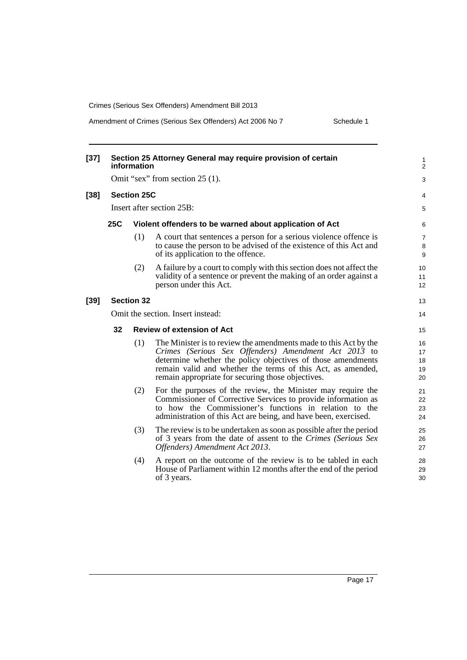Amendment of Crimes (Serious Sex Offenders) Act 2006 No 7 Schedule 1

| $[37]$ |                                 | information        | Section 25 Attorney General may require provision of certain                                                                                                                                                                                                                                                | 1<br>$\overline{c}$        |  |
|--------|---------------------------------|--------------------|-------------------------------------------------------------------------------------------------------------------------------------------------------------------------------------------------------------------------------------------------------------------------------------------------------------|----------------------------|--|
|        | Omit "sex" from section 25 (1). |                    |                                                                                                                                                                                                                                                                                                             |                            |  |
| [38]   |                                 | <b>Section 25C</b> |                                                                                                                                                                                                                                                                                                             | 4                          |  |
|        |                                 |                    | Insert after section 25B:                                                                                                                                                                                                                                                                                   | 5                          |  |
|        | <b>25C</b>                      |                    | Violent offenders to be warned about application of Act                                                                                                                                                                                                                                                     | 6                          |  |
|        |                                 | (1)                | A court that sentences a person for a serious violence offence is<br>to cause the person to be advised of the existence of this Act and<br>of its application to the offence.                                                                                                                               | 7<br>8<br>9                |  |
|        |                                 | (2)                | A failure by a court to comply with this section does not affect the<br>validity of a sentence or prevent the making of an order against a<br>person under this Act.                                                                                                                                        | 10<br>11<br>12             |  |
| [39]   |                                 | <b>Section 32</b>  |                                                                                                                                                                                                                                                                                                             | 13                         |  |
|        |                                 |                    | Omit the section. Insert instead:                                                                                                                                                                                                                                                                           | 14                         |  |
|        | 32                              |                    | <b>Review of extension of Act</b>                                                                                                                                                                                                                                                                           | 15                         |  |
|        |                                 | (1)                | The Minister is to review the amendments made to this Act by the<br>Crimes (Serious Sex Offenders) Amendment Act 2013 to<br>determine whether the policy objectives of those amendments<br>remain valid and whether the terms of this Act, as amended,<br>remain appropriate for securing those objectives. | 16<br>17<br>18<br>19<br>20 |  |
|        |                                 | (2)                | For the purposes of the review, the Minister may require the<br>Commissioner of Corrective Services to provide information as<br>to how the Commissioner's functions in relation to the<br>administration of this Act are being, and have been, exercised.                                                  | 21<br>22<br>23<br>24       |  |
|        |                                 | (3)                | The review is to be undertaken as soon as possible after the period<br>of 3 years from the date of assent to the Crimes (Serious Sex<br>Offenders) Amendment Act 2013.                                                                                                                                      | 25<br>26<br>27             |  |
|        |                                 | (4)                | A report on the outcome of the review is to be tabled in each<br>House of Parliament within 12 months after the end of the period<br>of 3 years.                                                                                                                                                            | 28<br>29<br>30             |  |
|        |                                 |                    |                                                                                                                                                                                                                                                                                                             |                            |  |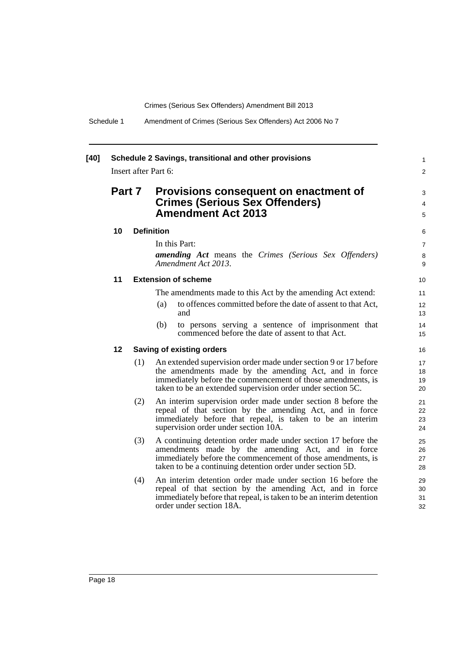| $[40]$ | Schedule 2 Savings, transitional and other provisions<br>Insert after Part 6:                                         |     |                                                                                                                                                                                                                                                            |                                |
|--------|-----------------------------------------------------------------------------------------------------------------------|-----|------------------------------------------------------------------------------------------------------------------------------------------------------------------------------------------------------------------------------------------------------------|--------------------------------|
|        | Part 7<br>Provisions consequent on enactment of<br><b>Crimes (Serious Sex Offenders)</b><br><b>Amendment Act 2013</b> |     |                                                                                                                                                                                                                                                            |                                |
|        | 10                                                                                                                    |     | <b>Definition</b>                                                                                                                                                                                                                                          | 6                              |
|        |                                                                                                                       |     | In this Part:<br><b>amending Act</b> means the Crimes (Serious Sex Offenders)<br>Amendment Act 2013.                                                                                                                                                       | $\overline{7}$<br>$\,8\,$<br>9 |
|        | 11                                                                                                                    |     | <b>Extension of scheme</b>                                                                                                                                                                                                                                 | 10                             |
|        |                                                                                                                       |     | The amendments made to this Act by the amending Act extend:<br>to offences committed before the date of assent to that Act,<br>(a)<br>and<br>(b)<br>to persons serving a sentence of imprisonment that<br>commenced before the date of assent to that Act. | 11<br>12<br>13<br>14<br>15     |
|        | 12 <sup>2</sup>                                                                                                       |     | Saving of existing orders                                                                                                                                                                                                                                  | 16                             |
|        |                                                                                                                       | (1) | An extended supervision order made under section 9 or 17 before<br>the amendments made by the amending Act, and in force<br>immediately before the commencement of those amendments, is<br>taken to be an extended supervision order under section 5C.     | 17<br>18<br>19<br>20           |
|        |                                                                                                                       | (2) | An interim supervision order made under section 8 before the<br>repeal of that section by the amending Act, and in force<br>immediately before that repeal, is taken to be an interim<br>supervision order under section 10A.                              | 21<br>22<br>23<br>24           |
|        |                                                                                                                       | (3) | A continuing detention order made under section 17 before the<br>amendments made by the amending Act, and in force<br>immediately before the commencement of those amendments, is<br>taken to be a continuing detention order under section 5D.            | 25<br>26<br>27<br>28           |
|        |                                                                                                                       | (4) | An interim detention order made under section 16 before the<br>repeal of that section by the amending Act, and in force<br>immediately before that repeal, is taken to be an interim detention<br>order under section 18A.                                 | 29<br>30<br>31<br>32           |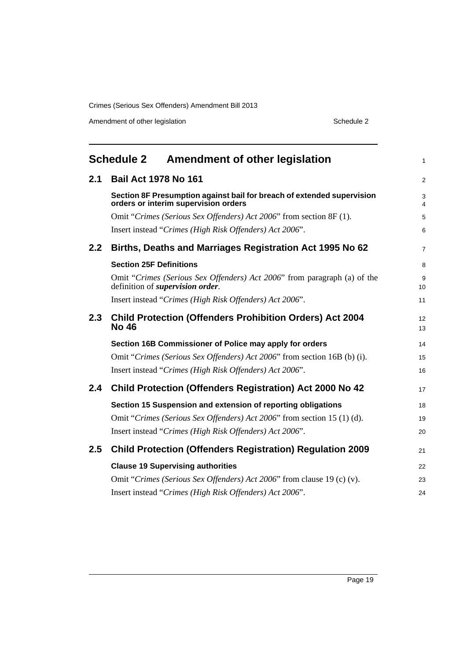Amendment of other legislation Schedule 2

<span id="page-24-0"></span>

|     | <b>Schedule 2</b><br>Amendment of other legislation                                                                 | $\mathbf{1}$                 |
|-----|---------------------------------------------------------------------------------------------------------------------|------------------------------|
| 2.1 | <b>Bail Act 1978 No 161</b>                                                                                         | $\overline{c}$               |
|     | Section 8F Presumption against bail for breach of extended supervision<br>orders or interim supervision orders      | 3<br>$\overline{\mathbf{4}}$ |
|     | Omit "Crimes (Serious Sex Offenders) Act 2006" from section 8F (1).                                                 | 5                            |
|     | Insert instead "Crimes (High Risk Offenders) Act 2006".                                                             | 6                            |
| 2.2 | Births, Deaths and Marriages Registration Act 1995 No 62                                                            | $\overline{7}$               |
|     | <b>Section 25F Definitions</b>                                                                                      | 8                            |
|     | Omit "Crimes (Serious Sex Offenders) Act 2006" from paragraph (a) of the<br>definition of <i>supervision</i> order. | 9<br>10                      |
|     | Insert instead "Crimes (High Risk Offenders) Act 2006".                                                             | 11                           |
| 2.3 | <b>Child Protection (Offenders Prohibition Orders) Act 2004</b><br><b>No 46</b>                                     | 12<br>13                     |
|     | Section 16B Commissioner of Police may apply for orders                                                             | 14                           |
|     | Omit "Crimes (Serious Sex Offenders) Act 2006" from section 16B (b) (i).                                            | 15                           |
|     | Insert instead "Crimes (High Risk Offenders) Act 2006".                                                             | 16                           |
| 2.4 | <b>Child Protection (Offenders Registration) Act 2000 No 42</b>                                                     | 17                           |
|     | Section 15 Suspension and extension of reporting obligations                                                        | 18                           |
|     | Omit "Crimes (Serious Sex Offenders) Act 2006" from section 15 (1) (d).                                             | 19                           |
|     | Insert instead "Crimes (High Risk Offenders) Act 2006".                                                             | 20                           |
| 2.5 | <b>Child Protection (Offenders Registration) Regulation 2009</b>                                                    | 21                           |
|     | <b>Clause 19 Supervising authorities</b>                                                                            | 22                           |
|     | Omit "Crimes (Serious Sex Offenders) Act 2006" from clause 19 (c) (v).                                              | 23                           |
|     | Insert instead "Crimes (High Risk Offenders) Act 2006".                                                             | 24                           |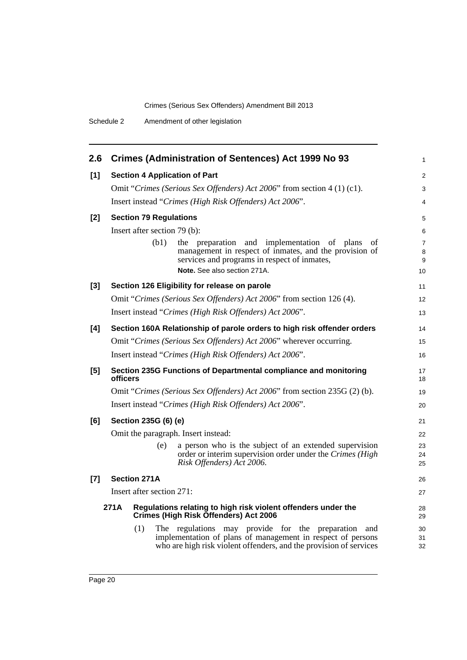| 2.6   |          | <b>Crimes (Administration of Sentences) Act 1999 No 93</b>                                                                                                                                         | $\mathbf{1}$             |
|-------|----------|----------------------------------------------------------------------------------------------------------------------------------------------------------------------------------------------------|--------------------------|
| $[1]$ |          | <b>Section 4 Application of Part</b>                                                                                                                                                               | $\overline{c}$           |
|       |          | Omit "Crimes (Serious Sex Offenders) Act 2006" from section 4 (1) (c1).                                                                                                                            | 3                        |
|       |          | Insert instead "Crimes (High Risk Offenders) Act 2006".                                                                                                                                            | 4                        |
| $[2]$ |          | <b>Section 79 Regulations</b>                                                                                                                                                                      | 5                        |
|       |          | Insert after section 79 (b):                                                                                                                                                                       | 6                        |
|       |          | (b1)<br>and<br>implementation of plans<br>the preparation<br>οf<br>management in respect of inmates, and the provision of<br>services and programs in respect of inmates,                          | $\overline{7}$<br>8<br>9 |
|       |          | Note. See also section 271A.                                                                                                                                                                       | 10                       |
| $[3]$ |          | Section 126 Eligibility for release on parole                                                                                                                                                      | 11                       |
|       |          | Omit "Crimes (Serious Sex Offenders) Act 2006" from section 126 (4).                                                                                                                               | 12                       |
|       |          | Insert instead "Crimes (High Risk Offenders) Act 2006".                                                                                                                                            | 13                       |
| [4]   |          | Section 160A Relationship of parole orders to high risk offender orders                                                                                                                            | 14                       |
|       |          | Omit "Crimes (Serious Sex Offenders) Act 2006" wherever occurring.                                                                                                                                 | 15                       |
|       |          | Insert instead "Crimes (High Risk Offenders) Act 2006".                                                                                                                                            | 16                       |
| [5]   | officers | Section 235G Functions of Departmental compliance and monitoring                                                                                                                                   | 17<br>18                 |
|       |          | Omit "Crimes (Serious Sex Offenders) Act 2006" from section 235G (2) (b).                                                                                                                          | 19                       |
|       |          | Insert instead "Crimes (High Risk Offenders) Act 2006".                                                                                                                                            | 20                       |
| [6]   |          | Section 235G (6) (e)                                                                                                                                                                               | 21                       |
|       |          | Omit the paragraph. Insert instead:                                                                                                                                                                | 22                       |
|       |          | a person who is the subject of an extended supervision<br>(e)<br>order or interim supervision order under the Crimes (High<br>Risk Offenders) Act 2006.                                            | 23<br>24<br>25           |
| $[7]$ |          | <b>Section 271A</b>                                                                                                                                                                                | 26                       |
|       |          | Insert after section 271:                                                                                                                                                                          | 27                       |
|       | 271A     | Regulations relating to high risk violent offenders under the<br><b>Crimes (High Risk Offenders) Act 2006</b>                                                                                      | 28<br>29                 |
|       |          | (1)<br>The regulations may provide for the preparation<br>and<br>implementation of plans of management in respect of persons<br>who are high risk violent offenders, and the provision of services | 30<br>31<br>32           |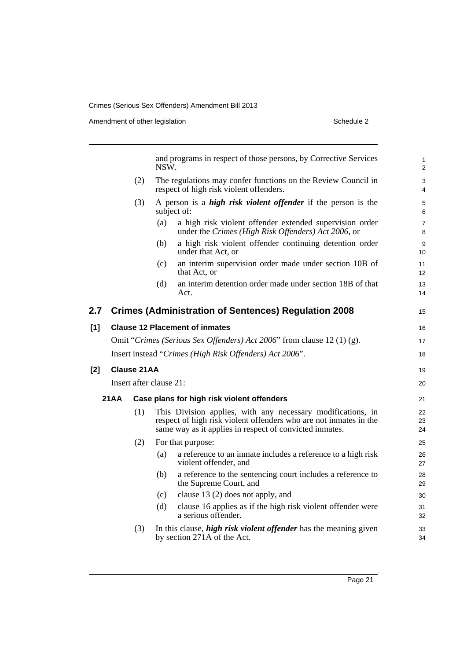Amendment of other legislation Schedule 2

|       |      |             | and programs in respect of those persons, by Corrective Services<br>NSW.                                                                                                                    | $\mathbf{1}$<br>2   |
|-------|------|-------------|---------------------------------------------------------------------------------------------------------------------------------------------------------------------------------------------|---------------------|
|       |      | (2)         | The regulations may confer functions on the Review Council in<br>respect of high risk violent offenders.                                                                                    | 3<br>$\overline{4}$ |
|       |      | (3)         | A person is a <i>high risk violent offender</i> if the person is the<br>subject of:                                                                                                         | 5<br>6              |
|       |      |             | a high risk violent offender extended supervision order<br>(a)<br>under the Crimes (High Risk Offenders) Act 2006, or                                                                       | $\overline{7}$<br>8 |
|       |      |             | a high risk violent offender continuing detention order<br>(b)<br>under that Act, or                                                                                                        | 9<br>10             |
|       |      |             | an interim supervision order made under section 10B of<br>(c)<br>that Act, or                                                                                                               | 11<br>12            |
|       |      |             | an interim detention order made under section 18B of that<br>(d)<br>Act.                                                                                                                    | 13<br>14            |
| 2.7   |      |             | <b>Crimes (Administration of Sentences) Regulation 2008</b>                                                                                                                                 | 15                  |
| [1]   |      |             | <b>Clause 12 Placement of inmates</b>                                                                                                                                                       | 16                  |
|       |      |             | Omit "Crimes (Serious Sex Offenders) Act 2006" from clause 12 (1) (g).                                                                                                                      | 17                  |
|       |      |             | Insert instead "Crimes (High Risk Offenders) Act 2006".                                                                                                                                     | 18                  |
| $[2]$ |      | Clause 21AA |                                                                                                                                                                                             | 19                  |
|       |      |             | Insert after clause 21:                                                                                                                                                                     | 20                  |
|       | 21AA |             | Case plans for high risk violent offenders                                                                                                                                                  | 21                  |
|       |      | (1)         | This Division applies, with any necessary modifications, in<br>respect of high risk violent offenders who are not inmates in the<br>same way as it applies in respect of convicted inmates. | 22<br>23<br>24      |
|       |      | (2)         | For that purpose:                                                                                                                                                                           | 25                  |
|       |      |             | a reference to an inmate includes a reference to a high risk<br>(a)<br>violent offender, and                                                                                                | 26<br>27            |
|       |      |             | a reference to the sentencing court includes a reference to<br>(b)<br>the Supreme Court, and                                                                                                | 28<br>29            |
|       |      |             | (c)<br>clause $13(2)$ does not apply, and                                                                                                                                                   | 30                  |
|       |      |             | clause 16 applies as if the high risk violent offender were<br>(d)<br>a serious offender.                                                                                                   | 31<br>32            |
|       |      | (3)         | In this clause, <i>high risk violent offender</i> has the meaning given<br>by section 271A of the Act.                                                                                      | 33<br>34            |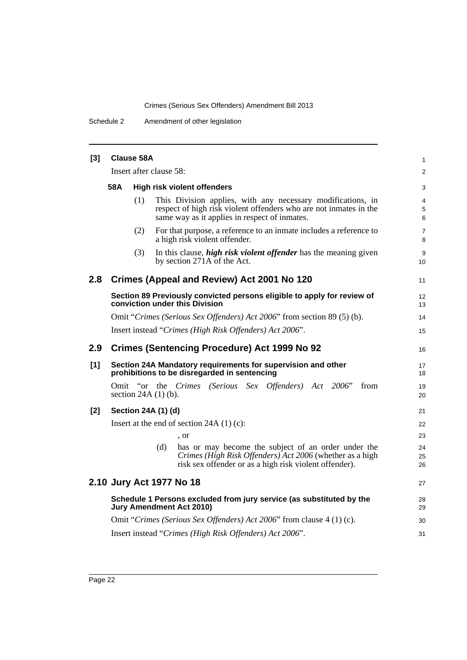Schedule 2 Amendment of other legislation

| $[3]$ | <b>Clause 58A</b>                         |     |                         |                                                                                                                                                                                   |                     |  |  |
|-------|-------------------------------------------|-----|-------------------------|-----------------------------------------------------------------------------------------------------------------------------------------------------------------------------------|---------------------|--|--|
|       |                                           |     | Insert after clause 58: |                                                                                                                                                                                   | 2                   |  |  |
|       | 58A<br><b>High risk violent offenders</b> |     |                         |                                                                                                                                                                                   |                     |  |  |
|       |                                           | (1) |                         | This Division applies, with any necessary modifications, in<br>respect of high risk violent offenders who are not inmates in the<br>same way as it applies in respect of inmates. | 4<br>5<br>6         |  |  |
|       |                                           | (2) |                         | For that purpose, a reference to an inmate includes a reference to<br>a high risk violent offender.                                                                               | $\overline{7}$<br>8 |  |  |
|       |                                           | (3) |                         | In this clause, <i>high risk violent offender</i> has the meaning given<br>by section 271A of the Act.                                                                            | 9<br>10             |  |  |
| 2.8   |                                           |     |                         | Crimes (Appeal and Review) Act 2001 No 120                                                                                                                                        | 11                  |  |  |
|       |                                           |     |                         | Section 89 Previously convicted persons eligible to apply for review of<br>conviction under this Division                                                                         | 12<br>13            |  |  |
|       |                                           |     |                         | Omit "Crimes (Serious Sex Offenders) Act 2006" from section 89 (5) (b).                                                                                                           | 14                  |  |  |
|       |                                           |     |                         | Insert instead "Crimes (High Risk Offenders) Act 2006".                                                                                                                           | 15                  |  |  |
| 2.9   |                                           |     |                         | <b>Crimes (Sentencing Procedure) Act 1999 No 92</b>                                                                                                                               | 16                  |  |  |
| $[1]$ |                                           |     |                         | Section 24A Mandatory requirements for supervision and other<br>prohibitions to be disregarded in sentencing                                                                      | 17<br>18            |  |  |
|       |                                           |     | section $24A(1)$ (b).   | Omit "or the Crimes (Serious Sex Offenders) Act 2006"<br>from                                                                                                                     | 19<br>20            |  |  |
| $[2]$ |                                           |     | Section 24A (1) (d)     |                                                                                                                                                                                   | 21                  |  |  |
|       |                                           |     |                         | Insert at the end of section $24A(1)(c)$ :                                                                                                                                        | 22                  |  |  |
|       |                                           |     |                         | , or                                                                                                                                                                              | 23                  |  |  |
|       |                                           |     | (d)                     | has or may become the subject of an order under the<br>Crimes (High Risk Offenders) Act 2006 (whether as a high<br>risk sex offender or as a high risk violent offender).         | 24<br>25<br>26      |  |  |
|       |                                           |     |                         | 2.10 Jury Act 1977 No 18                                                                                                                                                          | 27                  |  |  |
|       |                                           |     |                         | Schedule 1 Persons excluded from jury service (as substituted by the<br><b>Jury Amendment Act 2010)</b>                                                                           | 28<br>29            |  |  |
|       |                                           |     |                         | Omit "Crimes (Serious Sex Offenders) Act 2006" from clause 4 (1) (c).                                                                                                             | 30                  |  |  |
|       |                                           |     |                         | Insert instead "Crimes (High Risk Offenders) Act 2006".                                                                                                                           | 31                  |  |  |